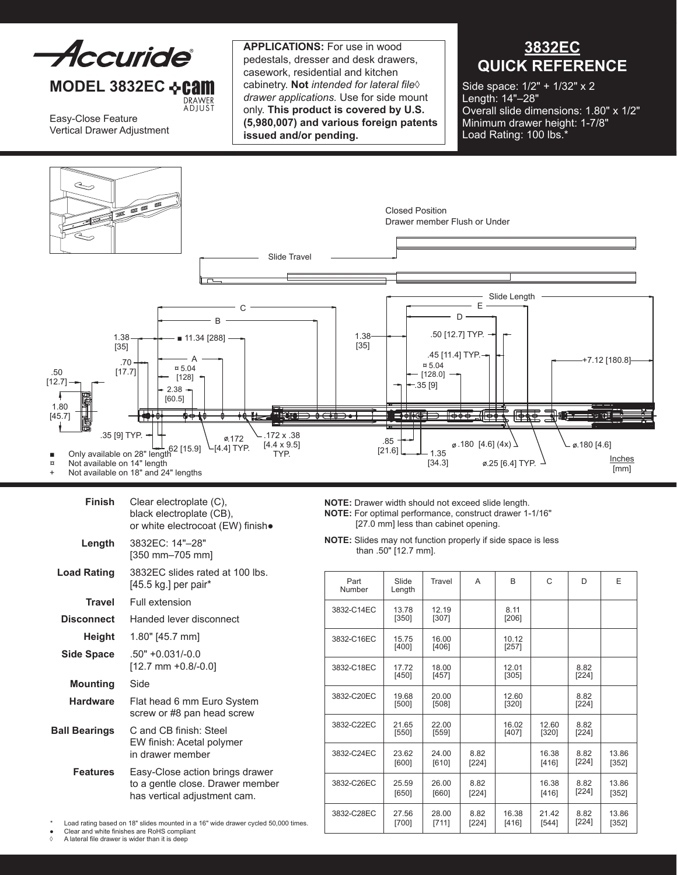

## **MODEL 3832EC <b>⊹Cam** DRAWER<br>ADJUST

Easy-Close Feature Vertical Drawer Adjustment **Applications:** For use in wood pedestals, dresser and desk drawers, casework, residential and kitchen cabinetry. **Not** *intended for lateral file*◊ *drawer applications.* Use for side mount only. **This product is covered by U.S. (5,980,007) and various foreign patents issued and/or pending.**

## **3832EC QUICK REFERENCE**

Side space: 1/2" + 1/32" x 2 Length: 14"–28" Overall slide dimensions: 1.80" x 1/2" Minimum drawer height: 1-7/8" Load Rating: 100 lbs.<sup>\*</sup>



| Finish               | Clear electroplate (C),<br>black electroplate (CB),<br>or white electrocoat (EW) finish.            |  |  |  |  |
|----------------------|-----------------------------------------------------------------------------------------------------|--|--|--|--|
| Length               | 3832FC: 14"-28"<br>[350 mm-705 mm]                                                                  |  |  |  |  |
| <b>Load Rating</b>   | 3832EC slides rated at 100 lbs.<br>[45.5 kg.] per pair*                                             |  |  |  |  |
| <b>Travel</b>        | Full extension                                                                                      |  |  |  |  |
| <b>Disconnect</b>    | Handed lever disconnect                                                                             |  |  |  |  |
| Height               | 1.80" [45.7 mm]                                                                                     |  |  |  |  |
| <b>Side Space</b>    | $.50" + 0.031/-0.0$<br>$[12.7$ mm +0.8/-0.0]                                                        |  |  |  |  |
| <b>Mounting</b>      | Side                                                                                                |  |  |  |  |
| <b>Hardware</b>      | Flat head 6 mm Euro System<br>screw or #8 pan head screw                                            |  |  |  |  |
| <b>Ball Bearings</b> | C and CB finish: Steel<br>EW finish: Acetal polymer<br>in drawer member                             |  |  |  |  |
| <b>Features</b>      | Easy-Close action brings drawer<br>to a gentle close. Drawer member<br>has vertical adjustment cam. |  |  |  |  |

**NOTE:** Drawer width should not exceed slide length. **NOTE:** For optimal performance, construct drawer 1-1/16" [27.0 mm] less than cabinet opening.

**NOTE:** Slides may not function properly if side space is less than .50" [12.7 mm].

| Part<br>Number | Slide<br>Length  | Travel           | A             | <sub>R</sub>     | C              | D               | E                |
|----------------|------------------|------------------|---------------|------------------|----------------|-----------------|------------------|
| 3832-C14EC     | 13.78<br>$[350]$ | 12.19<br>$[307]$ |               | 8.11<br>[206]    |                |                 |                  |
| 3832-C16EC     | 15.75<br>$[400]$ | 16.00<br>$[406]$ |               | 10.12<br>$[257]$ |                |                 |                  |
| 3832-C18EC     | 17.72<br>[450]   | 18.00<br>[457]   |               | 12.01<br>[305]   |                | 8.82<br>$[224]$ |                  |
| 3832-C20EC     | 19.68<br>$[500]$ | 20.00<br>$[508]$ |               | 12.60<br>[320]   |                | 8.82<br>$[224]$ |                  |
| 3832-C22EC     | 21.65<br>[550]   | 22.00<br>[559]   |               | 16.02<br>$[407]$ | 12.60<br>[320] | 8.82<br>$[224]$ |                  |
| 3832-C24EC     | 23.62<br>[600]   | 24.00<br>[610]   | 8.82<br>[224] |                  | 16.38<br>[416] | 8.82<br>[224]   | 13.86<br>$[352]$ |
| 3832-C26EC     | 25.59<br>[650]   | 26.00<br>[660]   | 8.82<br>[224] |                  | 16.38<br>[416] | 8.82<br>$[224]$ | 13.86<br>[352]   |
| 3832-C28EC     | 27.56<br>[700]   | 28.00<br>[711]   | 8.82<br>[224] | 16.38<br>[416]   | 21.42<br>[544] | 8.82<br>$[224]$ | 13.86<br>[352]   |

Load rating based on 18" slides mounted in a 16" wide drawer cycled 50,000 times.

• Clear and white finishes are RoHS compliant<br>  $\land$  A lateral file drawer is wider than it is deen A lateral file drawer is wider than it is deep